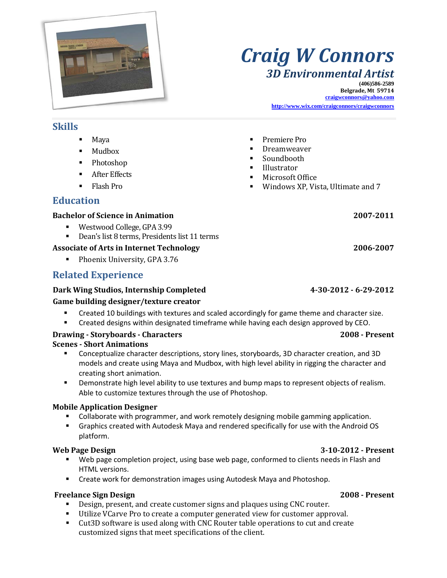

# *Craig W Connors 3D Environmental Artist*

**(406)586-2589 Belgrade, Mt 59714 craigwconnors@yahoo.com**

**<http://www.wix.com/craigconnors/craigwconnors>**

#### **Skills**

- Maya
- **Mudbox**
- Photoshop
- After Effects
- Flash Pro

### **Education**

#### **Bachelor of Science in Animation 2007-2011**

- Westwood College, GPA 3.99<br>■ Dean's list 8 terms. President
- Dean's list 8 terms, Presidents list 11 terms

#### **Associate of Arts in Internet Technology 2006-2007**

**Phoenix University, GPA 3.76** 

### **Related Experience**

#### **Dark Wing Studios, Internship Completed 4-30-2012 - 6-29-2012**

#### **Game building designer/texture creator**

- **EXECR** 10 buildings with textures and scaled accordingly for game theme and character size.
- Created designs within designated timeframe while having each design approved by CEO.

#### **Drawing - Storyboards - Characters 2008 - Present**

#### **Scenes - Short Animations**

- Conceptualize character descriptions, story lines, storyboards, 3D character creation, and 3D models and create using Maya and Mudbox, with high level ability in rigging the character and creating short animation.
- **Demonstrate high level ability to use textures and bump maps to represent objects of realism.** Able to customize textures through the use of Photoshop.

#### **Mobile Application Designer**

- **Collaborate with programmer, and work remotely designing mobile gamming application.**
- Graphics created with Autodesk Maya and rendered specifically for use with the Android OS platform.

#### **Web Page Design 3-10-2012 - Present**

- Web page completion project, using base web page, conformed to clients needs in Flash and HTML versions.
- Create work for demonstration images using Autodesk Maya and Photoshop.

#### **Freelance Sign Design 2008 - Present**

- Design, present, and create customer signs and plaques using CNC router.
- Utilize VCarve Pro to create a computer generated view for customer approval.
- Cut3D software is used along with CNC Router table operations to cut and create customized signs that meet specifications of the client.
- Premiere Pro
- Dreamweaver
- Soundbooth
- Illustrator
- Microsoft Office
- Windows XP, Vista, Ultimate and 7